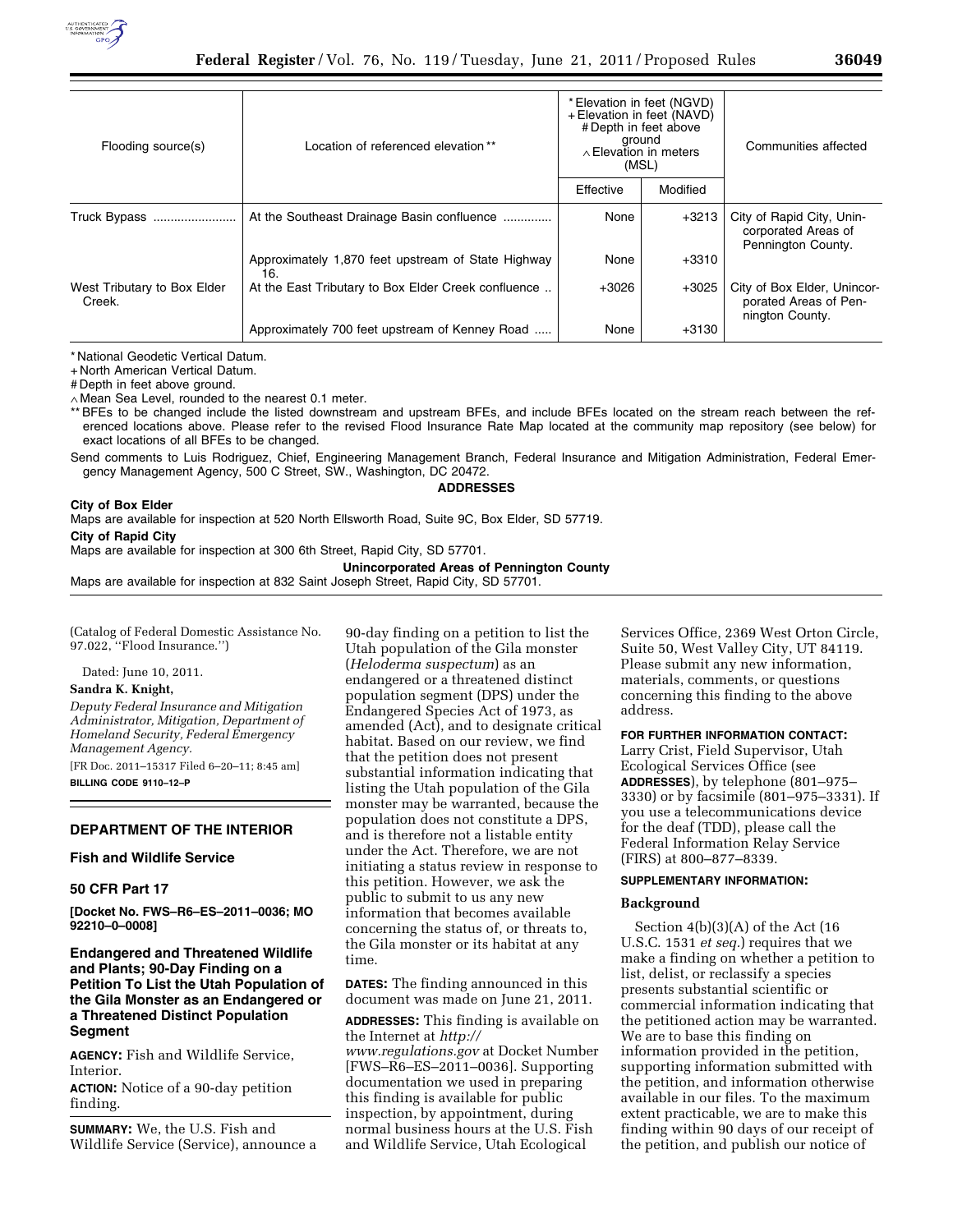

| Flooding source(s)                    | Location of referenced elevation **                       | * Elevation in feet (NGVD)<br>+ Elevation in feet (NAVD)<br># Depth in feet above<br>ground<br>$\land$ Elevation in meters<br>(MSL) |          | Communities affected                                                    |
|---------------------------------------|-----------------------------------------------------------|-------------------------------------------------------------------------------------------------------------------------------------|----------|-------------------------------------------------------------------------|
|                                       |                                                           | Effective                                                                                                                           | Modified |                                                                         |
| Truck Bypass                          | At the Southeast Drainage Basin confluence                | None                                                                                                                                | $+3213$  | City of Rapid City, Unin-<br>corporated Areas of<br>Pennington County.  |
|                                       | Approximately 1,870 feet upstream of State Highway<br>16. | None                                                                                                                                | $+3310$  |                                                                         |
| West Tributary to Box Elder<br>Creek. | At the East Tributary to Box Elder Creek confluence       | $+3026$                                                                                                                             | $+3025$  | City of Box Elder, Unincor-<br>porated Areas of Pen-<br>nington County. |
|                                       | Approximately 700 feet upstream of Kenney Road            | None                                                                                                                                | $+3130$  |                                                                         |

\* National Geodetic Vertical Datum.

+ North American Vertical Datum.

# Depth in feet above ground.

∧ Mean Sea Level, rounded to the nearest 0.1 meter.

\*\* BFEs to be changed include the listed downstream and upstream BFEs, and include BFEs located on the stream reach between the referenced locations above. Please refer to the revised Flood Insurance Rate Map located at the community map repository (see below) for exact locations of all BFEs to be changed.

Send comments to Luis Rodriguez, Chief, Engineering Management Branch, Federal Insurance and Mitigation Administration, Federal Emergency Management Agency, 500 C Street, SW., Washington, DC 20472.

**ADDRESSES** 

#### **City of Box Elder**

Maps are available for inspection at 520 North Ellsworth Road, Suite 9C, Box Elder, SD 57719. **City of Rapid City** 

Maps are available for inspection at 300 6th Street, Rapid City, SD 57701.

**Unincorporated Areas of Pennington County** 

Maps are available for inspection at 832 Saint Joseph Street, Rapid City, SD 57701.

(Catalog of Federal Domestic Assistance No. 97.022, ''Flood Insurance.'')

Dated: June 10, 2011.

### **Sandra K. Knight,**

*Deputy Federal Insurance and Mitigation Administrator, Mitigation, Department of Homeland Security, Federal Emergency Management Agency.* 

[FR Doc. 2011–15317 Filed 6–20–11; 8:45 am] **BILLING CODE 9110–12–P** 

# **DEPARTMENT OF THE INTERIOR**

#### **Fish and Wildlife Service**

#### **50 CFR Part 17**

**[Docket No. FWS–R6–ES–2011–0036; MO 92210–0–0008]** 

# **Endangered and Threatened Wildlife and Plants; 90-Day Finding on a Petition To List the Utah Population of the Gila Monster as an Endangered or a Threatened Distinct Population Segment**

**AGENCY:** Fish and Wildlife Service, Interior.

**ACTION:** Notice of a 90-day petition finding.

**SUMMARY:** We, the U.S. Fish and Wildlife Service (Service), announce a 90-day finding on a petition to list the Utah population of the Gila monster (*Heloderma suspectum*) as an endangered or a threatened distinct population segment (DPS) under the Endangered Species Act of 1973, as amended (Act), and to designate critical habitat. Based on our review, we find that the petition does not present substantial information indicating that listing the Utah population of the Gila monster may be warranted, because the population does not constitute a DPS, and is therefore not a listable entity under the Act. Therefore, we are not initiating a status review in response to this petition. However, we ask the public to submit to us any new information that becomes available concerning the status of, or threats to, the Gila monster or its habitat at any time.

**DATES:** The finding announced in this document was made on June 21, 2011.

**ADDRESSES:** This finding is available on the Internet at *[http://](http://www.regulations.gov)* 

*[www.regulations.gov](http://www.regulations.gov)* at Docket Number [FWS–R6–ES–2011–0036]. Supporting documentation we used in preparing this finding is available for public inspection, by appointment, during normal business hours at the U.S. Fish and Wildlife Service, Utah Ecological

Services Office, 2369 West Orton Circle, Suite 50, West Valley City, UT 84119. Please submit any new information, materials, comments, or questions concerning this finding to the above address.

# **FOR FURTHER INFORMATION CONTACT:**

Larry Crist, Field Supervisor, Utah Ecological Services Office (see **ADDRESSES**), by telephone (801–975– 3330) or by facsimile (801–975–3331). If you use a telecommunications device for the deaf (TDD), please call the Federal Information Relay Service (FIRS) at 800–877–8339.

## **SUPPLEMENTARY INFORMATION:**

#### **Background**

Section 4(b)(3)(A) of the Act (16 U.S.C. 1531 *et seq.*) requires that we make a finding on whether a petition to list, delist, or reclassify a species presents substantial scientific or commercial information indicating that the petitioned action may be warranted. We are to base this finding on information provided in the petition, supporting information submitted with the petition, and information otherwise available in our files. To the maximum extent practicable, we are to make this finding within 90 days of our receipt of the petition, and publish our notice of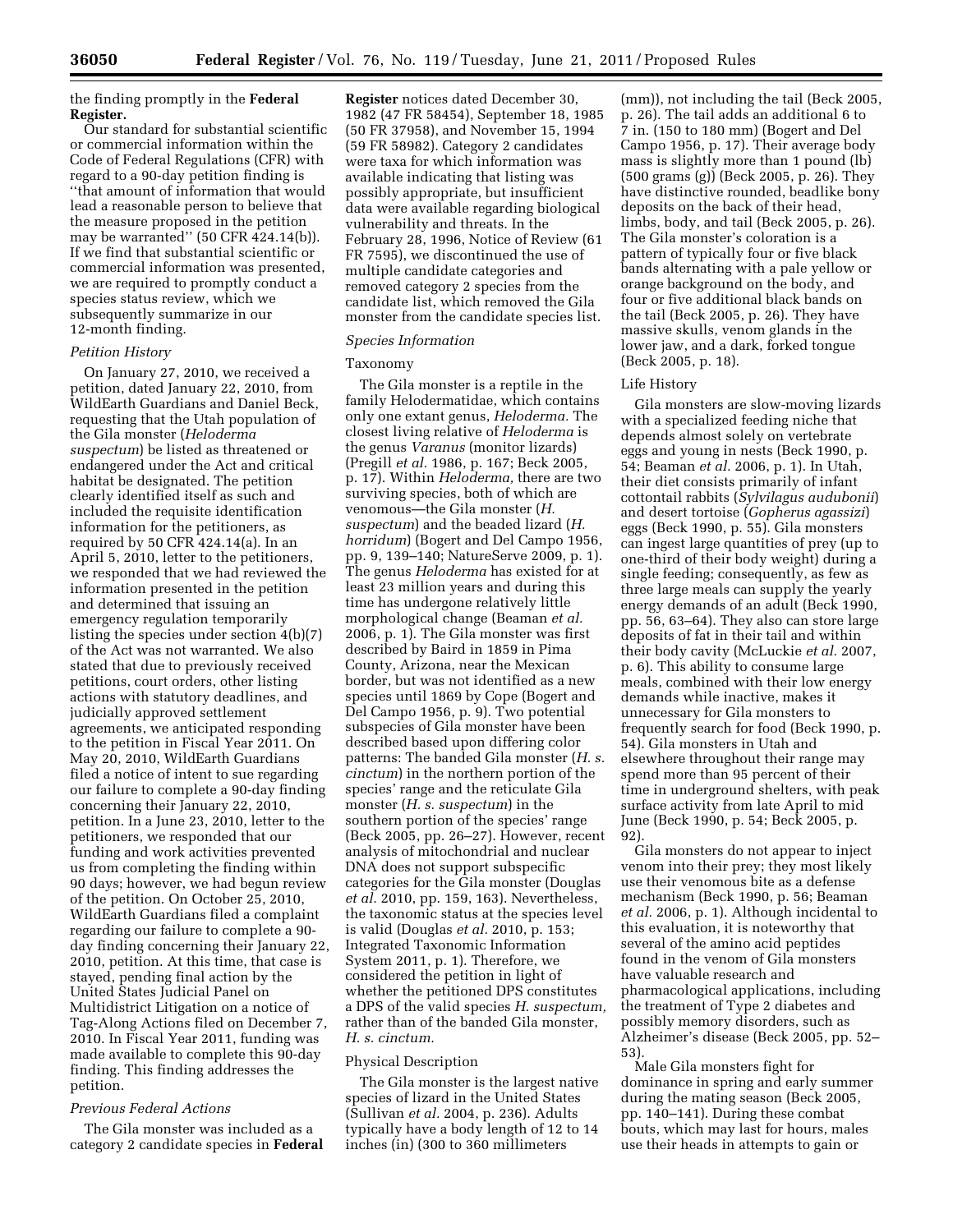the finding promptly in the **Federal Register.** 

Our standard for substantial scientific or commercial information within the Code of Federal Regulations (CFR) with regard to a 90-day petition finding is ''that amount of information that would lead a reasonable person to believe that the measure proposed in the petition may be warranted'' (50 CFR 424.14(b)). If we find that substantial scientific or commercial information was presented, we are required to promptly conduct a species status review, which we subsequently summarize in our 12-month finding.

### *Petition History*

On January 27, 2010, we received a petition, dated January 22, 2010, from WildEarth Guardians and Daniel Beck, requesting that the Utah population of the Gila monster (*Heloderma suspectum*) be listed as threatened or endangered under the Act and critical habitat be designated. The petition clearly identified itself as such and included the requisite identification information for the petitioners, as required by 50 CFR 424.14(a). In an April 5, 2010, letter to the petitioners, we responded that we had reviewed the information presented in the petition and determined that issuing an emergency regulation temporarily listing the species under section 4(b)(7) of the Act was not warranted. We also stated that due to previously received petitions, court orders, other listing actions with statutory deadlines, and judicially approved settlement agreements, we anticipated responding to the petition in Fiscal Year 2011. On May 20, 2010, WildEarth Guardians filed a notice of intent to sue regarding our failure to complete a 90-day finding concerning their January 22, 2010, petition. In a June 23, 2010, letter to the petitioners, we responded that our funding and work activities prevented us from completing the finding within 90 days; however, we had begun review of the petition. On October 25, 2010, WildEarth Guardians filed a complaint regarding our failure to complete a 90 day finding concerning their January 22, 2010, petition. At this time, that case is stayed, pending final action by the United States Judicial Panel on Multidistrict Litigation on a notice of Tag-Along Actions filed on December 7, 2010. In Fiscal Year 2011, funding was made available to complete this 90-day finding. This finding addresses the petition.

### *Previous Federal Actions*

The Gila monster was included as a category 2 candidate species in **Federal** 

**Register** notices dated December 30, 1982 (47 FR 58454), September 18, 1985 (50 FR 37958), and November 15, 1994 (59 FR 58982). Category 2 candidates were taxa for which information was available indicating that listing was possibly appropriate, but insufficient data were available regarding biological vulnerability and threats. In the February 28, 1996, Notice of Review (61 FR 7595), we discontinued the use of multiple candidate categories and removed category 2 species from the candidate list, which removed the Gila monster from the candidate species list.

### *Species Information*

#### Taxonomy

The Gila monster is a reptile in the family Helodermatidae, which contains only one extant genus, *Heloderma.* The closest living relative of *Heloderma* is the genus *Varanus* (monitor lizards) (Pregill *et al.* 1986, p. 167; Beck 2005, p. 17). Within *Heloderma,* there are two surviving species, both of which are venomous—the Gila monster (*H. suspectum*) and the beaded lizard (*H. horridum*) (Bogert and Del Campo 1956, pp. 9, 139–140; NatureServe 2009, p. 1). The genus *Heloderma* has existed for at least 23 million years and during this time has undergone relatively little morphological change (Beaman *et al.*  2006, p. 1). The Gila monster was first described by Baird in 1859 in Pima County, Arizona, near the Mexican border, but was not identified as a new species until 1869 by Cope (Bogert and Del Campo 1956, p. 9). Two potential subspecies of Gila monster have been described based upon differing color patterns: The banded Gila monster (*H. s. cinctum*) in the northern portion of the species' range and the reticulate Gila monster (*H. s. suspectum*) in the southern portion of the species' range (Beck 2005, pp. 26–27). However, recent analysis of mitochondrial and nuclear DNA does not support subspecific categories for the Gila monster (Douglas *et al.* 2010, pp. 159, 163). Nevertheless, the taxonomic status at the species level is valid (Douglas *et al.* 2010, p. 153; Integrated Taxonomic Information System 2011, p. 1). Therefore, we considered the petition in light of whether the petitioned DPS constitutes a DPS of the valid species *H. suspectum,*  rather than of the banded Gila monster, *H. s. cinctum.* 

#### Physical Description

The Gila monster is the largest native species of lizard in the United States (Sullivan *et al.* 2004, p. 236). Adults typically have a body length of 12 to 14 inches (in) (300 to 360 millimeters

(mm)), not including the tail (Beck 2005, p. 26). The tail adds an additional 6 to 7 in. (150 to 180 mm) (Bogert and Del Campo 1956, p. 17). Their average body mass is slightly more than 1 pound (lb) (500 grams (g)) (Beck 2005, p. 26). They have distinctive rounded, beadlike bony deposits on the back of their head, limbs, body, and tail (Beck 2005, p. 26). The Gila monster's coloration is a pattern of typically four or five black bands alternating with a pale yellow or orange background on the body, and four or five additional black bands on the tail (Beck 2005, p. 26). They have massive skulls, venom glands in the lower jaw, and a dark, forked tongue (Beck 2005, p. 18).

### Life History

Gila monsters are slow-moving lizards with a specialized feeding niche that depends almost solely on vertebrate eggs and young in nests (Beck 1990, p. 54; Beaman *et al.* 2006, p. 1). In Utah, their diet consists primarily of infant cottontail rabbits (*Sylvilagus audubonii*) and desert tortoise (*Gopherus agassizi*) eggs (Beck 1990, p. 55). Gila monsters can ingest large quantities of prey (up to one-third of their body weight) during a single feeding; consequently, as few as three large meals can supply the yearly energy demands of an adult (Beck 1990, pp. 56, 63–64). They also can store large deposits of fat in their tail and within their body cavity (McLuckie *et al.* 2007, p. 6). This ability to consume large meals, combined with their low energy demands while inactive, makes it unnecessary for Gila monsters to frequently search for food (Beck 1990, p. 54). Gila monsters in Utah and elsewhere throughout their range may spend more than 95 percent of their time in underground shelters, with peak surface activity from late April to mid June (Beck 1990, p. 54; Beck 2005, p. 92)

Gila monsters do not appear to inject venom into their prey; they most likely use their venomous bite as a defense mechanism (Beck 1990, p. 56; Beaman *et al.* 2006, p. 1). Although incidental to this evaluation, it is noteworthy that several of the amino acid peptides found in the venom of Gila monsters have valuable research and pharmacological applications, including the treatment of Type 2 diabetes and possibly memory disorders, such as Alzheimer's disease (Beck 2005, pp. 52– 53).

Male Gila monsters fight for dominance in spring and early summer during the mating season (Beck 2005, pp. 140–141). During these combat bouts, which may last for hours, males use their heads in attempts to gain or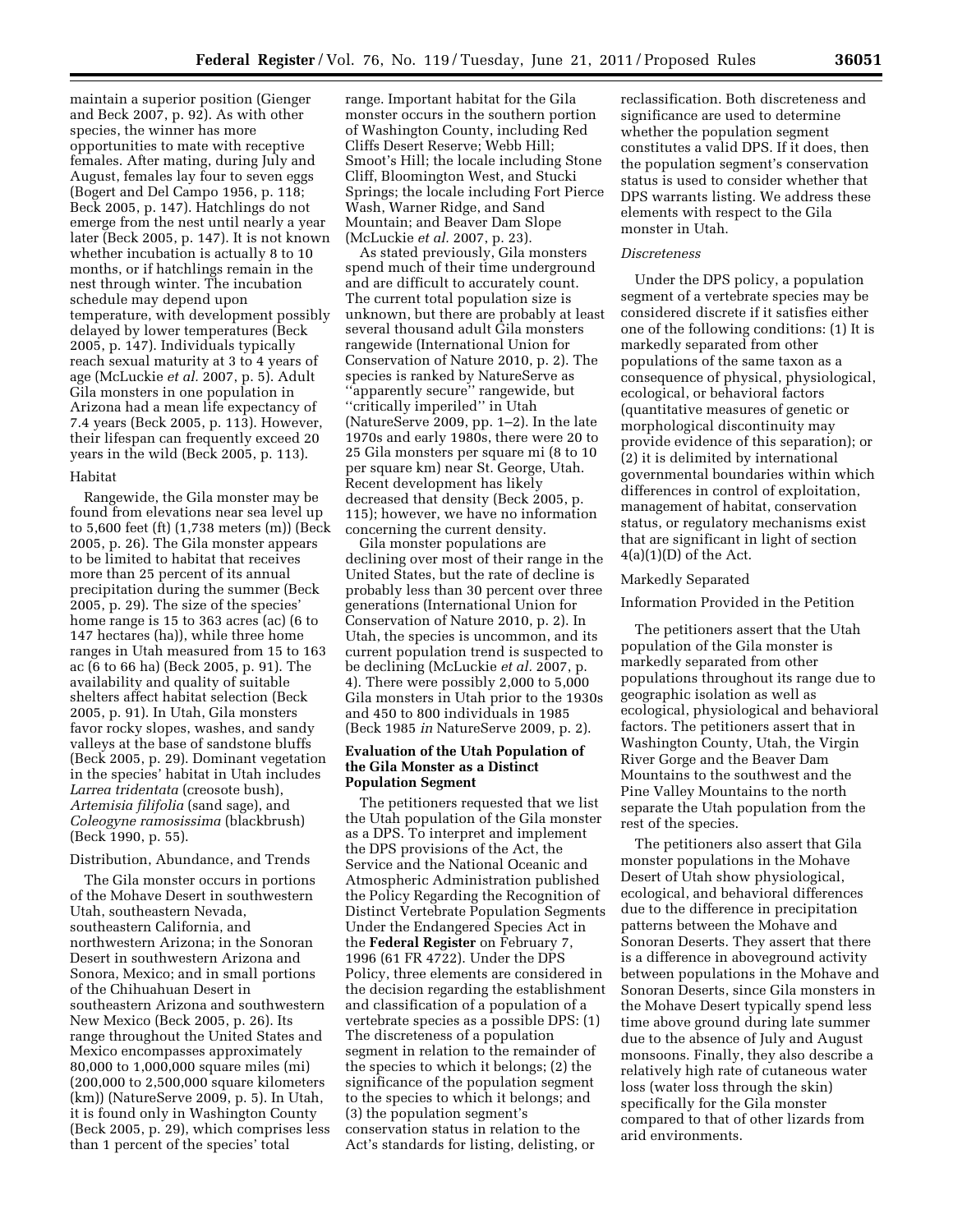maintain a superior position (Gienger and Beck 2007, p. 92). As with other species, the winner has more opportunities to mate with receptive females. After mating, during July and August, females lay four to seven eggs (Bogert and Del Campo 1956, p. 118; Beck 2005, p. 147). Hatchlings do not emerge from the nest until nearly a year later (Beck 2005, p. 147). It is not known whether incubation is actually 8 to 10 months, or if hatchlings remain in the nest through winter. The incubation schedule may depend upon temperature, with development possibly delayed by lower temperatures (Beck 2005, p. 147). Individuals typically reach sexual maturity at 3 to 4 years of age (McLuckie *et al.* 2007, p. 5). Adult Gila monsters in one population in Arizona had a mean life expectancy of 7.4 years (Beck 2005, p. 113). However, their lifespan can frequently exceed 20 years in the wild (Beck 2005, p. 113).

# Habitat

Rangewide, the Gila monster may be found from elevations near sea level up to 5,600 feet (ft) (1,738 meters (m)) (Beck 2005, p. 26). The Gila monster appears to be limited to habitat that receives more than 25 percent of its annual precipitation during the summer (Beck 2005, p. 29). The size of the species' home range is 15 to 363 acres (ac) (6 to 147 hectares (ha)), while three home ranges in Utah measured from 15 to 163 ac (6 to 66 ha) (Beck 2005, p. 91). The availability and quality of suitable shelters affect habitat selection (Beck 2005, p. 91). In Utah, Gila monsters favor rocky slopes, washes, and sandy valleys at the base of sandstone bluffs (Beck 2005, p. 29). Dominant vegetation in the species' habitat in Utah includes *Larrea tridentata* (creosote bush), *Artemisia filifolia* (sand sage), and *Coleogyne ramosissima* (blackbrush) (Beck 1990, p. 55).

# Distribution, Abundance, and Trends

The Gila monster occurs in portions of the Mohave Desert in southwestern Utah, southeastern Nevada, southeastern California, and northwestern Arizona; in the Sonoran Desert in southwestern Arizona and Sonora, Mexico; and in small portions of the Chihuahuan Desert in southeastern Arizona and southwestern New Mexico (Beck 2005, p. 26). Its range throughout the United States and Mexico encompasses approximately 80,000 to 1,000,000 square miles (mi) (200,000 to 2,500,000 square kilometers (km)) (NatureServe 2009, p. 5). In Utah, it is found only in Washington County (Beck 2005, p. 29), which comprises less than 1 percent of the species' total

range. Important habitat for the Gila monster occurs in the southern portion of Washington County, including Red Cliffs Desert Reserve; Webb Hill; Smoot's Hill; the locale including Stone Cliff, Bloomington West, and Stucki Springs; the locale including Fort Pierce Wash, Warner Ridge, and Sand Mountain; and Beaver Dam Slope (McLuckie *et al.* 2007, p. 23).

As stated previously, Gila monsters spend much of their time underground and are difficult to accurately count. The current total population size is unknown, but there are probably at least several thousand adult Gila monsters rangewide (International Union for Conservation of Nature 2010, p. 2). The species is ranked by NatureServe as ''apparently secure'' rangewide, but ''critically imperiled'' in Utah (NatureServe 2009, pp. 1–2). In the late 1970s and early 1980s, there were 20 to 25 Gila monsters per square mi (8 to 10 per square km) near St. George, Utah. Recent development has likely decreased that density (Beck 2005, p. 115); however, we have no information concerning the current density.

Gila monster populations are declining over most of their range in the United States, but the rate of decline is probably less than 30 percent over three generations (International Union for Conservation of Nature 2010, p. 2). In Utah, the species is uncommon, and its current population trend is suspected to be declining (McLuckie *et al.* 2007, p. 4). There were possibly 2,000 to 5,000 Gila monsters in Utah prior to the 1930s and 450 to 800 individuals in 1985 (Beck 1985 *in* NatureServe 2009, p. 2).

# **Evaluation of the Utah Population of the Gila Monster as a Distinct Population Segment**

The petitioners requested that we list the Utah population of the Gila monster as a DPS. To interpret and implement the DPS provisions of the Act, the Service and the National Oceanic and Atmospheric Administration published the Policy Regarding the Recognition of Distinct Vertebrate Population Segments Under the Endangered Species Act in the **Federal Register** on February 7, 1996 (61 FR 4722). Under the DPS Policy, three elements are considered in the decision regarding the establishment and classification of a population of a vertebrate species as a possible DPS: (1) The discreteness of a population segment in relation to the remainder of the species to which it belongs; (2) the significance of the population segment to the species to which it belongs; and (3) the population segment's conservation status in relation to the Act's standards for listing, delisting, or

reclassification. Both discreteness and significance are used to determine whether the population segment constitutes a valid DPS. If it does, then the population segment's conservation status is used to consider whether that DPS warrants listing. We address these elements with respect to the Gila monster in Utah.

### *Discreteness*

Under the DPS policy, a population segment of a vertebrate species may be considered discrete if it satisfies either one of the following conditions: (1) It is markedly separated from other populations of the same taxon as a consequence of physical, physiological, ecological, or behavioral factors (quantitative measures of genetic or morphological discontinuity may provide evidence of this separation); or (2) it is delimited by international governmental boundaries within which differences in control of exploitation, management of habitat, conservation status, or regulatory mechanisms exist that are significant in light of section  $4(a)(1)(D)$  of the Act.

# Markedly Separated

#### Information Provided in the Petition

The petitioners assert that the Utah population of the Gila monster is markedly separated from other populations throughout its range due to geographic isolation as well as ecological, physiological and behavioral factors. The petitioners assert that in Washington County, Utah, the Virgin River Gorge and the Beaver Dam Mountains to the southwest and the Pine Valley Mountains to the north separate the Utah population from the rest of the species.

The petitioners also assert that Gila monster populations in the Mohave Desert of Utah show physiological, ecological, and behavioral differences due to the difference in precipitation patterns between the Mohave and Sonoran Deserts. They assert that there is a difference in aboveground activity between populations in the Mohave and Sonoran Deserts, since Gila monsters in the Mohave Desert typically spend less time above ground during late summer due to the absence of July and August monsoons. Finally, they also describe a relatively high rate of cutaneous water loss (water loss through the skin) specifically for the Gila monster compared to that of other lizards from arid environments.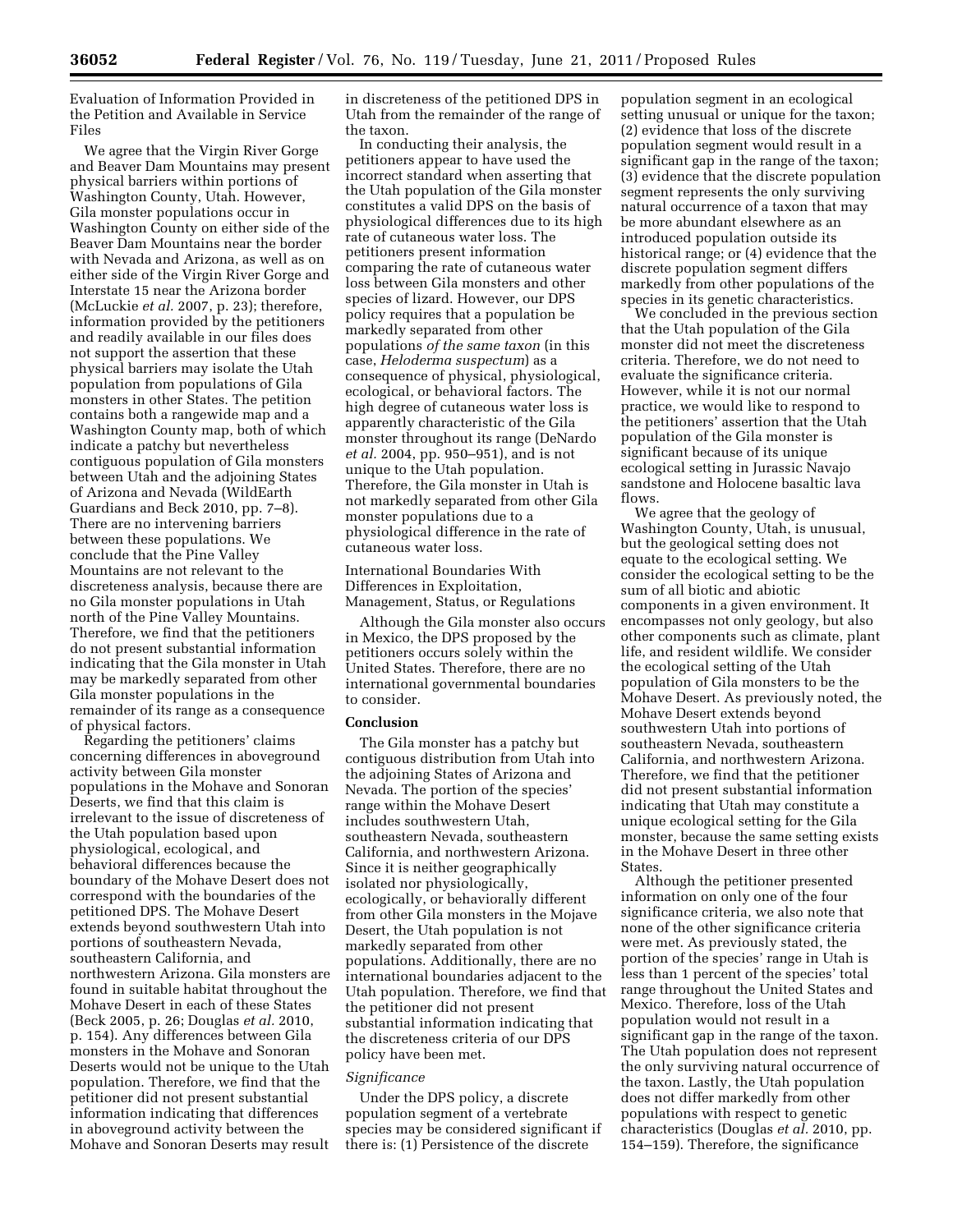Evaluation of Information Provided in the Petition and Available in Service Files

We agree that the Virgin River Gorge and Beaver Dam Mountains may present physical barriers within portions of Washington County, Utah. However, Gila monster populations occur in Washington County on either side of the Beaver Dam Mountains near the border with Nevada and Arizona, as well as on either side of the Virgin River Gorge and Interstate 15 near the Arizona border (McLuckie *et al.* 2007, p. 23); therefore, information provided by the petitioners and readily available in our files does not support the assertion that these physical barriers may isolate the Utah population from populations of Gila monsters in other States. The petition contains both a rangewide map and a Washington County map, both of which indicate a patchy but nevertheless contiguous population of Gila monsters between Utah and the adjoining States of Arizona and Nevada (WildEarth Guardians and Beck 2010, pp. 7–8). There are no intervening barriers between these populations. We conclude that the Pine Valley Mountains are not relevant to the discreteness analysis, because there are no Gila monster populations in Utah north of the Pine Valley Mountains. Therefore, we find that the petitioners do not present substantial information indicating that the Gila monster in Utah may be markedly separated from other Gila monster populations in the remainder of its range as a consequence of physical factors.

Regarding the petitioners' claims concerning differences in aboveground activity between Gila monster populations in the Mohave and Sonoran Deserts, we find that this claim is irrelevant to the issue of discreteness of the Utah population based upon physiological, ecological, and behavioral differences because the boundary of the Mohave Desert does not correspond with the boundaries of the petitioned DPS. The Mohave Desert extends beyond southwestern Utah into portions of southeastern Nevada, southeastern California, and northwestern Arizona. Gila monsters are found in suitable habitat throughout the Mohave Desert in each of these States (Beck 2005, p. 26; Douglas *et al.* 2010, p. 154). Any differences between Gila monsters in the Mohave and Sonoran Deserts would not be unique to the Utah population. Therefore, we find that the petitioner did not present substantial information indicating that differences in aboveground activity between the Mohave and Sonoran Deserts may result

in discreteness of the petitioned DPS in Utah from the remainder of the range of the taxon.

In conducting their analysis, the petitioners appear to have used the incorrect standard when asserting that the Utah population of the Gila monster constitutes a valid DPS on the basis of physiological differences due to its high rate of cutaneous water loss. The petitioners present information comparing the rate of cutaneous water loss between Gila monsters and other species of lizard. However, our DPS policy requires that a population be markedly separated from other populations *of the same taxon* (in this case, *Heloderma suspectum*) as a consequence of physical, physiological, ecological, or behavioral factors. The high degree of cutaneous water loss is apparently characteristic of the Gila monster throughout its range (DeNardo *et al.* 2004, pp. 950–951), and is not unique to the Utah population. Therefore, the Gila monster in Utah is not markedly separated from other Gila monster populations due to a physiological difference in the rate of cutaneous water loss.

International Boundaries With Differences in Exploitation, Management, Status, or Regulations

Although the Gila monster also occurs in Mexico, the DPS proposed by the petitioners occurs solely within the United States. Therefore, there are no international governmental boundaries to consider.

#### **Conclusion**

The Gila monster has a patchy but contiguous distribution from Utah into the adjoining States of Arizona and Nevada. The portion of the species' range within the Mohave Desert includes southwestern Utah, southeastern Nevada, southeastern California, and northwestern Arizona. Since it is neither geographically isolated nor physiologically, ecologically, or behaviorally different from other Gila monsters in the Mojave Desert, the Utah population is not markedly separated from other populations. Additionally, there are no international boundaries adjacent to the Utah population. Therefore, we find that the petitioner did not present substantial information indicating that the discreteness criteria of our DPS policy have been met.

#### *Significance*

Under the DPS policy, a discrete population segment of a vertebrate species may be considered significant if there is: (1) Persistence of the discrete

population segment in an ecological setting unusual or unique for the taxon; (2) evidence that loss of the discrete population segment would result in a significant gap in the range of the taxon; (3) evidence that the discrete population segment represents the only surviving natural occurrence of a taxon that may be more abundant elsewhere as an introduced population outside its historical range; or (4) evidence that the discrete population segment differs markedly from other populations of the species in its genetic characteristics.

We concluded in the previous section that the Utah population of the Gila monster did not meet the discreteness criteria. Therefore, we do not need to evaluate the significance criteria. However, while it is not our normal practice, we would like to respond to the petitioners' assertion that the Utah population of the Gila monster is significant because of its unique ecological setting in Jurassic Navajo sandstone and Holocene basaltic lava flows.

We agree that the geology of Washington County, Utah, is unusual, but the geological setting does not equate to the ecological setting. We consider the ecological setting to be the sum of all biotic and abiotic components in a given environment. It encompasses not only geology, but also other components such as climate, plant life, and resident wildlife. We consider the ecological setting of the Utah population of Gila monsters to be the Mohave Desert. As previously noted, the Mohave Desert extends beyond southwestern Utah into portions of southeastern Nevada, southeastern California, and northwestern Arizona. Therefore, we find that the petitioner did not present substantial information indicating that Utah may constitute a unique ecological setting for the Gila monster, because the same setting exists in the Mohave Desert in three other States.

Although the petitioner presented information on only one of the four significance criteria, we also note that none of the other significance criteria were met. As previously stated, the portion of the species' range in Utah is less than 1 percent of the species' total range throughout the United States and Mexico. Therefore, loss of the Utah population would not result in a significant gap in the range of the taxon. The Utah population does not represent the only surviving natural occurrence of the taxon. Lastly, the Utah population does not differ markedly from other populations with respect to genetic characteristics (Douglas *et al.* 2010, pp. 154–159). Therefore, the significance